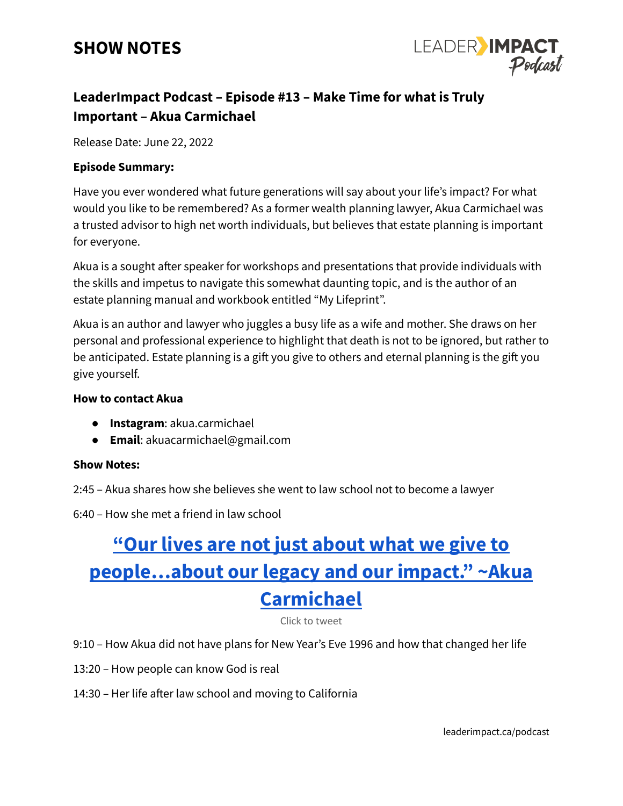### **SHOW NOTES**



### **LeaderImpact Podcast – Episode #13 – Make Time for what is Truly Important – Akua Carmichael**

Release Date: June 22, 2022

#### **Episode Summary:**

Have you ever wondered what future generations will say about your life's impact? For what would you like to be remembered? As a former wealth planning lawyer, Akua Carmichael was a trusted advisor to high net worth individuals, but believes that estate planning is important for everyone.

Akua is a sought after speaker for workshops and presentations that provide individuals with the skills and impetus to navigate this somewhat daunting topic, and is the author of an estate planning manual and workbook entitled "My Lifeprint".

Akua is an author and lawyer who juggles a busy life as a wife and mother. She draws on her personal and professional experience to highlight that death is not to be ignored, but rather to be anticipated. Estate planning is a gift you give to others and eternal planning is the gift you give yourself.

#### **How to contact Akua**

- **Instagram**: akua.carmichael
- **Email**: akuacarmichael@gmail.com

#### **Show Notes:**

- 2:45 Akua shares how she believes she went to law school not to become a lawyer
- 6:40 How she met a friend in law school

# **"Our lives are not just [about](https://ctt.ac/FcNqb) what we give to [people…about](https://ctt.ac/FcNqb) our legacy and our impact." ~Akua [Carmichael](https://ctt.ac/FcNqb)**

Click to tweet

- 9:10 How Akua did not have plans for New Year's Eve 1996 and how that changed her life
- 13:20 How people can know God is real
- 14:30 Her life after law school and moving to California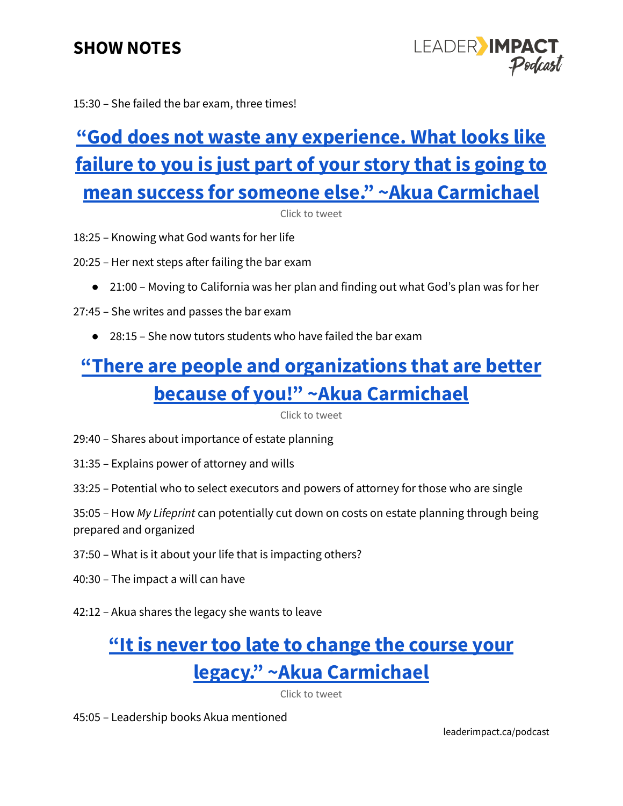### **SHOW NOTES**

LEADER IMPAC

15:30 – She failed the bar exam, three times!

## **"God does not waste any [experience.](https://ctt.ac/d1f8c) What looks like [failure](https://ctt.ac/d1f8c) to you is just part of your story that is going to mean success for someone else." ~Akua [Carmichael](https://ctt.ac/d1f8c)**

Click to tweet

18:25 – Knowing what God wants for her life

20:25 – Her next steps after failing the bar exam

- 21:00 Moving to California was her plan and finding out what God's plan was for her
- 27:45 She writes and passes the bar exam
	- 28:15 She now tutors students who have failed the bar exam

## **"There are people and [organizations](https://ctt.ac/ds2y_) that are better because of you!" ~Akua [Carmichael](https://ctt.ac/ds2y_)**

Click to tweet

- 29:40 Shares about importance of estate planning
- 31:35 Explains power of attorney and wills
- 33:25 Potential who to select executors and powers of attorney for those who are single

35:05 – How *My Lifeprint* can potentially cut down on costs on estate planning through being prepared and organized

- 37:50 What is it about your life that is impacting others?
- 40:30 The impact a will can have
- 42:12 Akua shares the legacy she wants to leave

### **"It is never too late to [change](https://ctt.ac/U_4SW) the course your legacy." ~Akua [Carmichael](https://ctt.ac/U_4SW)**

Click to tweet

45:05 – Leadership books Akua mentioned